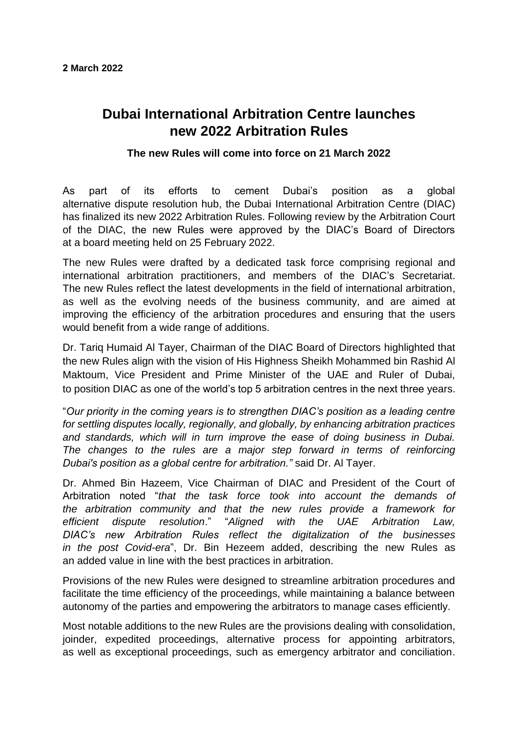## **Dubai International Arbitration Centre launches new 2022 Arbitration Rules**

## **The new Rules will come into force on 21 March 2022**

As part of its efforts to cement Dubai's position as a global alternative dispute resolution hub, the Dubai International Arbitration Centre (DIAC) has finalized its new 2022 Arbitration Rules. Following review by the Arbitration Court of the DIAC, the new Rules were approved by the DIAC's Board of Directors at a board meeting held on 25 February 2022.

The new Rules were drafted by a dedicated task force comprising regional and international arbitration practitioners, and members of the DIAC's Secretariat. The new Rules reflect the latest developments in the field of international arbitration, as well as the evolving needs of the business community, and are aimed at improving the efficiency of the arbitration procedures and ensuring that the users would benefit from a wide range of additions.

Dr. Tariq Humaid Al Tayer, Chairman of the DIAC Board of Directors highlighted that the new Rules align with the vision of His Highness Sheikh Mohammed bin Rashid Al Maktoum, Vice President and Prime Minister of the UAE and Ruler of Dubai, to position DIAC as one of the world's top 5 arbitration centres in the next three years.

"*Our priority in the coming years is to strengthen DIAC's position as a leading centre for settling disputes locally, regionally, and globally, by enhancing arbitration practices and standards, which will in turn improve the ease of doing business in Dubai. The changes to the rules are a major step forward in terms of reinforcing Dubai's position as a global centre for arbitration."* said Dr. Al Tayer.

Dr. Ahmed Bin Hazeem, Vice Chairman of DIAC and President of the Court of Arbitration noted "*that the task force took into account the demands of the arbitration community and that the new rules provide a framework for efficient dispute resolution*." "*Aligned with the UAE Arbitration Law, DIAC's new Arbitration Rules reflect the digitalization of the businesses in the post Covid-era*", Dr. Bin Hezeem added, describing the new Rules as an added value in line with the best practices in arbitration.

Provisions of the new Rules were designed to streamline arbitration procedures and facilitate the time efficiency of the proceedings, while maintaining a balance between autonomy of the parties and empowering the arbitrators to manage cases efficiently.

Most notable additions to the new Rules are the provisions dealing with consolidation, joinder, expedited proceedings, alternative process for appointing arbitrators, as well as exceptional proceedings, such as emergency arbitrator and conciliation.